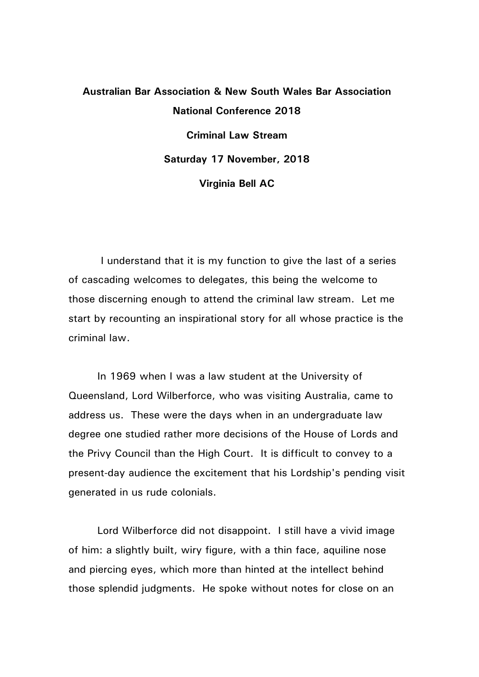## **Australian Bar Association & New South Wales Bar Association National Conference 2018 Criminal Law Stream Saturday 17 November, 2018 Virginia Bell AC**

 I understand that it is my function to give the last of a series of cascading welcomes to delegates, this being the welcome to those discerning enough to attend the criminal law stream. Let me start by recounting an inspirational story for all whose practice is the criminal law.

In 1969 when I was a law student at the University of Queensland, Lord Wilberforce, who was visiting Australia, came to address us. These were the days when in an undergraduate law degree one studied rather more decisions of the House of Lords and the Privy Council than the High Court. It is difficult to convey to a present-day audience the excitement that his Lordship's pending visit generated in us rude colonials.

Lord Wilberforce did not disappoint. I still have a vivid image of him: a slightly built, wiry figure, with a thin face, aquiline nose and piercing eyes, which more than hinted at the intellect behind those splendid judgments. He spoke without notes for close on an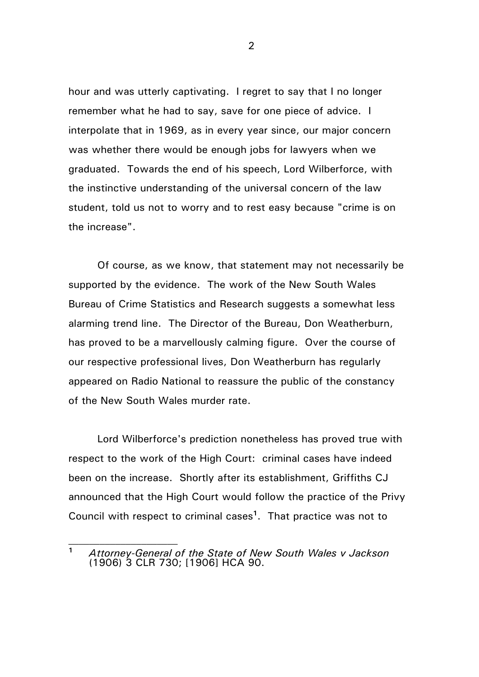hour and was utterly captivating. I regret to say that I no longer remember what he had to say, save for one piece of advice. I interpolate that in 1969, as in every year since, our major concern was whether there would be enough jobs for lawyers when we graduated. Towards the end of his speech, Lord Wilberforce, with the instinctive understanding of the universal concern of the law student, told us not to worry and to rest easy because "crime is on the increase".

Of course, as we know, that statement may not necessarily be supported by the evidence. The work of the New South Wales Bureau of Crime Statistics and Research suggests a somewhat less alarming trend line. The Director of the Bureau, Don Weatherburn, has proved to be a marvellously calming figure. Over the course of our respective professional lives, Don Weatherburn has regularly appeared on Radio National to reassure the public of the constancy of the New South Wales murder rate.

Lord Wilberforce's prediction nonetheless has proved true with respect to the work of the High Court: criminal cases have indeed been on the increase. Shortly after its establishment, Griffiths CJ announced that the High Court would follow the practice of the Privy Council with respect to criminal cases**<sup>1</sup>**. That practice was not to

 $\mathcal{L}_\text{max}$ 

**<sup>1</sup>** *Attorney-General of the State of New South Wales v Jackson* (1906) 3 CLR 730; [1906] HCA 90.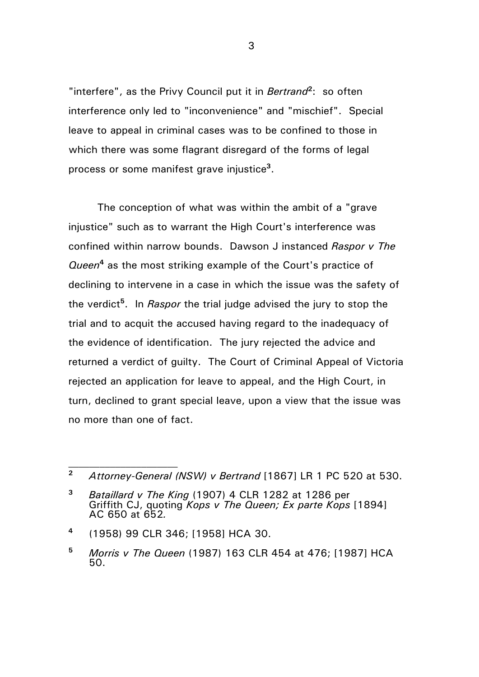"interfere", as the Privy Council put it in *Bertrand***<sup>2</sup>**: so often interference only led to "inconvenience" and "mischief". Special leave to appeal in criminal cases was to be confined to those in which there was some flagrant disregard of the forms of legal process or some manifest grave injustice**<sup>3</sup>**.

The conception of what was within the ambit of a "grave injustice" such as to warrant the High Court's interference was confined within narrow bounds. Dawson J instanced *Raspor v The Queen***<sup>4</sup>** as the most striking example of the Court's practice of declining to intervene in a case in which the issue was the safety of the verdict**<sup>5</sup>**. In *Raspor* the trial judge advised the jury to stop the trial and to acquit the accused having regard to the inadequacy of the evidence of identification. The jury rejected the advice and returned a verdict of guilty. The Court of Criminal Appeal of Victoria rejected an application for leave to appeal, and the High Court, in turn, declined to grant special leave, upon a view that the issue was no more than one of fact.

**<sup>4</sup>** (1958) 99 CLR 346; [1958] HCA 30.

 $\mathcal{L}_\text{max}$ 

**<sup>2</sup>** *Attorney-General (NSW) v Bertrand* [1867] LR 1 PC 520 at 530.

**<sup>3</sup>** *Bataillard v The King* (1907) 4 CLR 1282 at 1286 per Griffith CJ, quoting *Kops v The Queen; Ex parte Kops* [1894] AC 650 at 652*.*

**<sup>5</sup>** *Morris v The Queen* (1987) 163 CLR 454 at 476; [1987] HCA 50.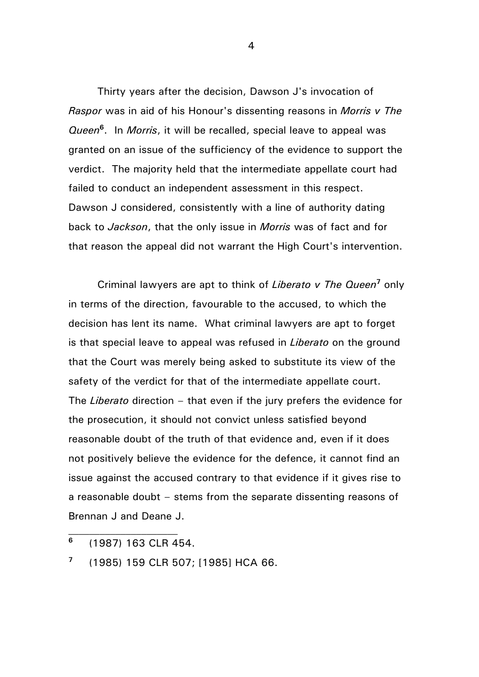Thirty years after the decision, Dawson J's invocation of *Raspor* was in aid of his Honour's dissenting reasons in *Morris v The Queen***<sup>6</sup>**. In *Morris*, it will be recalled, special leave to appeal was granted on an issue of the sufficiency of the evidence to support the verdict. The majority held that the intermediate appellate court had failed to conduct an independent assessment in this respect. Dawson J considered, consistently with a line of authority dating back to *Jackson*, that the only issue in *Morris* was of fact and for that reason the appeal did not warrant the High Court's intervention.

Criminal lawyers are apt to think of *Liberato v The Queen***<sup>7</sup>** only in terms of the direction, favourable to the accused, to which the decision has lent its name. What criminal lawyers are apt to forget is that special leave to appeal was refused in *Liberato* on the ground that the Court was merely being asked to substitute its view of the safety of the verdict for that of the intermediate appellate court. The *Liberato* direction – that even if the jury prefers the evidence for the prosecution, it should not convict unless satisfied beyond reasonable doubt of the truth of that evidence and, even if it does not positively believe the evidence for the defence, it cannot find an issue against the accused contrary to that evidence if it gives rise to a reasonable doubt – stems from the separate dissenting reasons of Brennan J and Deane J.

 $\mathcal{L}_\text{max}$ 

**<sup>7</sup>** (1985) 159 CLR 507; [1985] HCA 66.

**<sup>6</sup>** (1987) 163 CLR 454.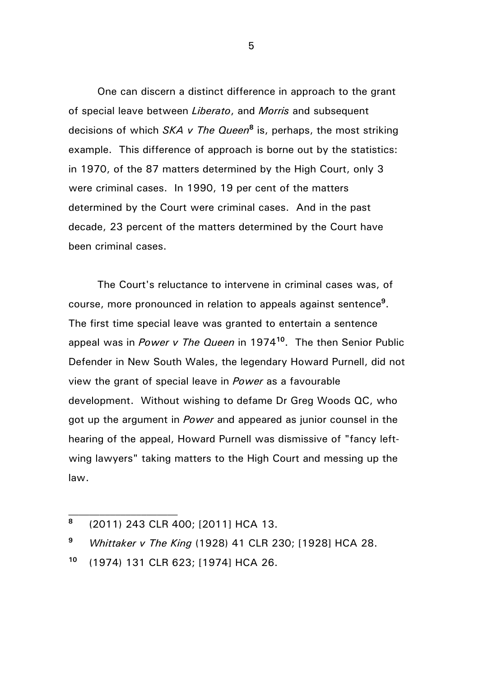One can discern a distinct difference in approach to the grant of special leave between *Liberato*, and *Morris* and subsequent decisions of which *SKA v The Queen***<sup>8</sup>** is, perhaps, the most striking example. This difference of approach is borne out by the statistics: in 1970, of the 87 matters determined by the High Court, only 3 were criminal cases. In 1990, 19 per cent of the matters determined by the Court were criminal cases. And in the past decade, 23 percent of the matters determined by the Court have been criminal cases.

The Court's reluctance to intervene in criminal cases was, of course, more pronounced in relation to appeals against sentence**<sup>9</sup>**. The first time special leave was granted to entertain a sentence appeal was in *Power v The Queen* in 1974**<sup>10</sup>**. The then Senior Public Defender in New South Wales, the legendary Howard Purnell, did not view the grant of special leave in *Power* as a favourable development. Without wishing to defame Dr Greg Woods QC, who got up the argument in *Power* and appeared as junior counsel in the hearing of the appeal, Howard Purnell was dismissive of "fancy leftwing lawyers" taking matters to the High Court and messing up the law.

 $\mathcal{L}_\text{max}$ 

**<sup>8</sup>** (2011) 243 CLR 400; [2011] HCA 13.

**<sup>9</sup>** *Whittaker v The King* (1928) 41 CLR 230; [1928] HCA 28.

**<sup>10</sup>** (1974) 131 CLR 623; [1974] HCA 26.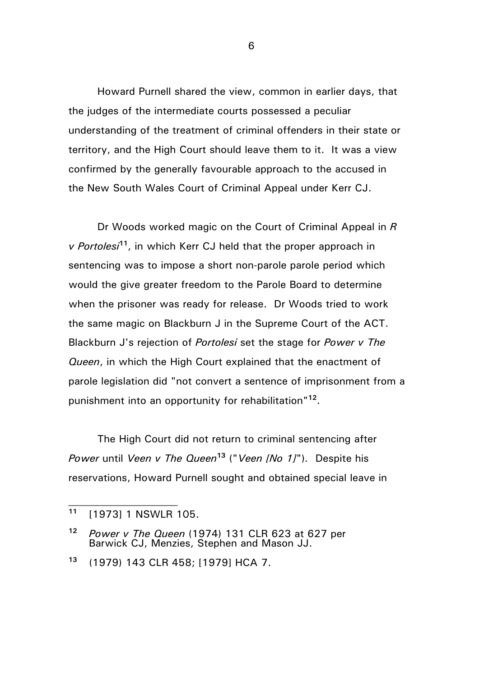Howard Purnell shared the view, common in earlier days, that the judges of the intermediate courts possessed a peculiar understanding of the treatment of criminal offenders in their state or territory, and the High Court should leave them to it. It was a view confirmed by the generally favourable approach to the accused in the New South Wales Court of Criminal Appeal under Kerr CJ.

Dr Woods worked magic on the Court of Criminal Appeal in *R v Portolesi***<sup>11</sup>**, in which Kerr CJ held that the proper approach in sentencing was to impose a short non-parole parole period which would the give greater freedom to the Parole Board to determine when the prisoner was ready for release. Dr Woods tried to work the same magic on Blackburn J in the Supreme Court of the ACT. Blackburn J's rejection of *Portolesi* set the stage for *Power v The Queen*, in which the High Court explained that the enactment of parole legislation did "not convert a sentence of imprisonment from a punishment into an opportunity for rehabilitation"**<sup>12</sup>**.

The High Court did not return to criminal sentencing after *Power* until *Veen v The Queen***<sup>13</sup>** ("*Veen [No 1]*")*.* Despite his reservations, Howard Purnell sought and obtained special leave in

 $\mathcal{L}_\text{max}$ 

**<sup>11</sup>** [1973] 1 NSWLR 105.

**<sup>12</sup>** *Power v The Queen* (1974) 131 CLR 623 at 627 per Barwick CJ, Menzies, Stephen and Mason JJ.

**<sup>13</sup>** (1979) 143 CLR 458; [1979] HCA 7.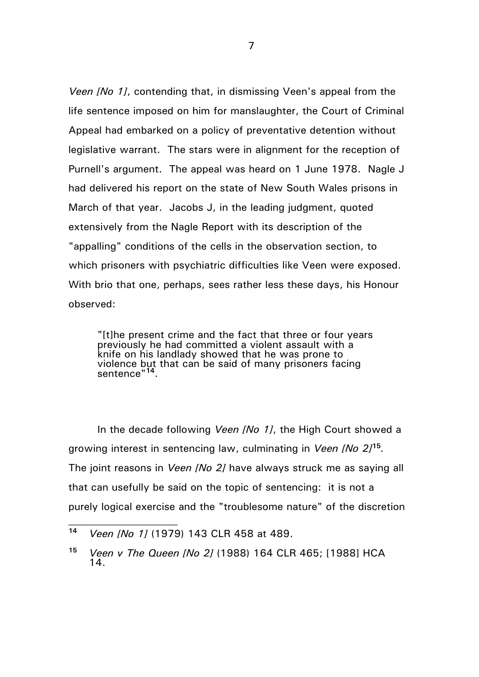*Veen [No 1]*, contending that, in dismissing Veen's appeal from the life sentence imposed on him for manslaughter, the Court of Criminal Appeal had embarked on a policy of preventative detention without legislative warrant. The stars were in alignment for the reception of Purnell's argument. The appeal was heard on 1 June 1978. Nagle J had delivered his report on the state of New South Wales prisons in March of that year. Jacobs J, in the leading judgment, quoted extensively from the Nagle Report with its description of the "appalling" conditions of the cells in the observation section, to which prisoners with psychiatric difficulties like Veen were exposed. With brio that one, perhaps, sees rather less these days, his Honour observed:

"[t]he present crime and the fact that three or four years previously he had committed a violent assault with a knife on his landlady showed that he was prone to violence but that can be said of many prisoners facing sentence"**<sup>14</sup>**.

In the decade following *Veen [No 1]*, the High Court showed a growing interest in sentencing law, culminating in *Veen [No 2]***<sup>15</sup>***.*  The joint reasons in *Veen [No 2]* have always struck me as saying all that can usefully be said on the topic of sentencing: it is not a purely logical exercise and the "troublesome nature" of the discretion

 $\mathcal{L}_\text{max}$ 

**<sup>14</sup>** *Veen [No 1]* (1979) 143 CLR 458 at 489.

**<sup>15</sup>** *Veen v The Queen [No 2]* (1988) 164 CLR 465; [1988] HCA 14.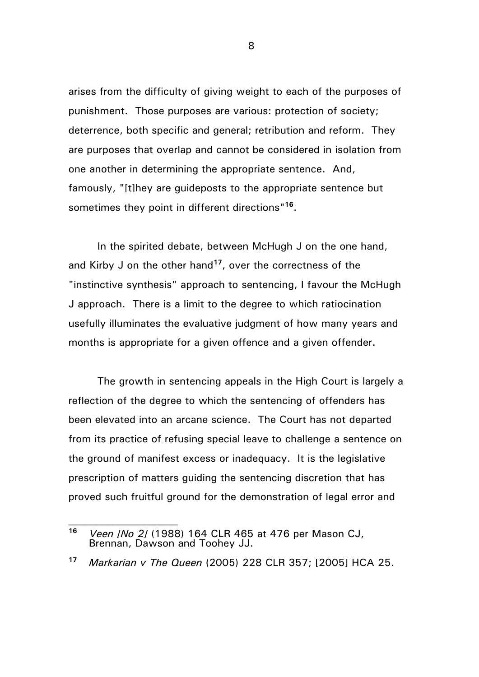arises from the difficulty of giving weight to each of the purposes of punishment. Those purposes are various: protection of society; deterrence, both specific and general; retribution and reform. They are purposes that overlap and cannot be considered in isolation from one another in determining the appropriate sentence. And, famously, "[t]hey are guideposts to the appropriate sentence but sometimes they point in different directions"**<sup>16</sup>**.

In the spirited debate, between McHugh J on the one hand, and Kirby J on the other hand**<sup>17</sup>**, over the correctness of the "instinctive synthesis" approach to sentencing, I favour the McHugh J approach. There is a limit to the degree to which ratiocination usefully illuminates the evaluative judgment of how many years and months is appropriate for a given offence and a given offender.

The growth in sentencing appeals in the High Court is largely a reflection of the degree to which the sentencing of offenders has been elevated into an arcane science. The Court has not departed from its practice of refusing special leave to challenge a sentence on the ground of manifest excess or inadequacy. It is the legislative prescription of matters guiding the sentencing discretion that has proved such fruitful ground for the demonstration of legal error and

 $\mathcal{L}_\text{max}$ 

**<sup>16</sup>** *Veen [No 2]* (1988) 164 CLR 465 at 476 per Mason CJ, Brennan, Dawson and Toohey JJ.

**<sup>17</sup>** *Markarian v The Queen* (2005) 228 CLR 357; [2005] HCA 25.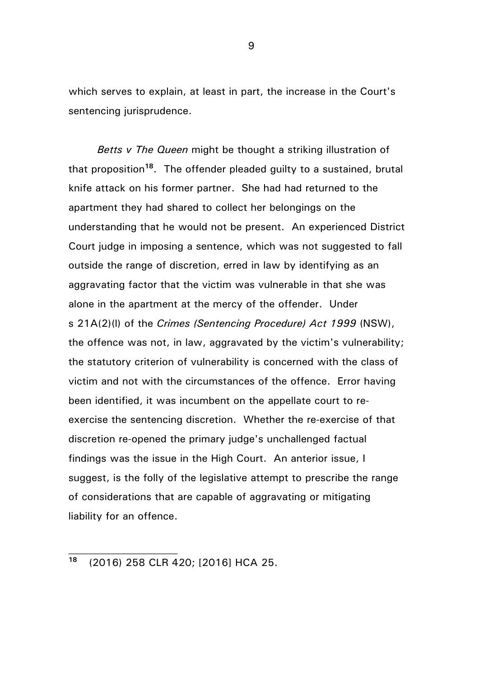which serves to explain, at least in part, the increase in the Court's sentencing jurisprudence.

*Betts v The Queen* might be thought a striking illustration of that proposition**<sup>18</sup>**. The offender pleaded guilty to a sustained, brutal knife attack on his former partner. She had had returned to the apartment they had shared to collect her belongings on the understanding that he would not be present. An experienced District Court judge in imposing a sentence, which was not suggested to fall outside the range of discretion, erred in law by identifying as an aggravating factor that the victim was vulnerable in that she was alone in the apartment at the mercy of the offender. Under s 21A(2)(l) of the *Crimes (Sentencing Procedure) Act 1999* (NSW), the offence was not, in law, aggravated by the victim's vulnerability; the statutory criterion of vulnerability is concerned with the class of victim and not with the circumstances of the offence. Error having been identified, it was incumbent on the appellate court to reexercise the sentencing discretion. Whether the re-exercise of that discretion re-opened the primary judge's unchallenged factual findings was the issue in the High Court. An anterior issue, I suggest, is the folly of the legislative attempt to prescribe the range of considerations that are capable of aggravating or mitigating liability for an offence.

 $\mathcal{L}_\text{max}$ 

**<sup>18</sup>** (2016) 258 CLR 420; [2016] HCA 25.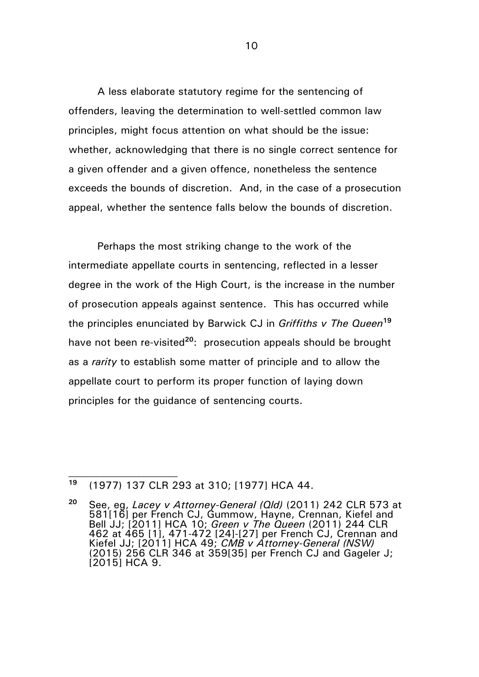A less elaborate statutory regime for the sentencing of offenders, leaving the determination to well-settled common law principles, might focus attention on what should be the issue: whether, acknowledging that there is no single correct sentence for a given offender and a given offence, nonetheless the sentence exceeds the bounds of discretion. And, in the case of a prosecution appeal, whether the sentence falls below the bounds of discretion.

Perhaps the most striking change to the work of the intermediate appellate courts in sentencing, reflected in a lesser degree in the work of the High Court, is the increase in the number of prosecution appeals against sentence. This has occurred while the principles enunciated by Barwick CJ in *Griffiths v The Queen***<sup>19</sup>** have not been re-visited**<sup>20</sup>**: prosecution appeals should be brought as a *rarity* to establish some matter of principle and to allow the appellate court to perform its proper function of laying down principles for the guidance of sentencing courts.

 $\mathcal{L}_\text{max}$ 

**<sup>19</sup>** (1977) 137 CLR 293 at 310; [1977] HCA 44.

**<sup>20</sup>** See, eg, *Lacey v Attorney-General (Qld)* (2011) 242 CLR 573 at 581[16] per French CJ, Gummow, Hayne, Crennan, Kiefel and Bell JJ; [2011] HCA 10; *Green v The Queen* (2011) 244 CLR 462 at 465 [1], 471-472 [24]-[27] per French CJ, Crennan and Kiefel JJ; [2011] HCA 49; *CMB v Attorney-General (NSW)*  (2015) 256 CLR 346 at 359[35] per French CJ and Gageler J; [2015] HCA 9.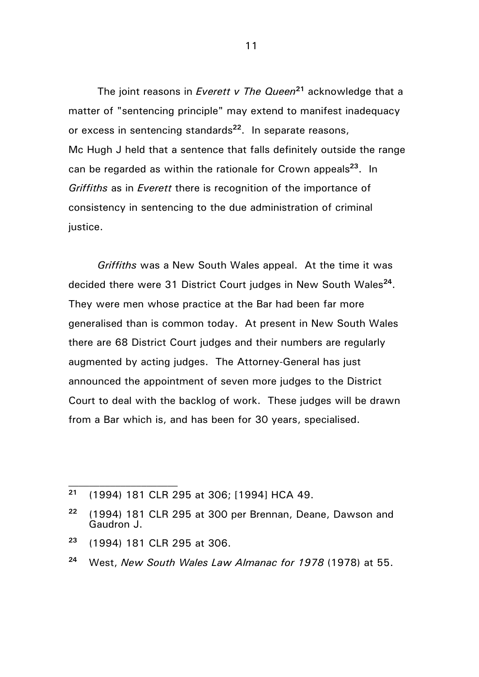The joint reasons in *Everett v The Queen***<sup>21</sup>** acknowledge that a matter of "sentencing principle" may extend to manifest inadequacy or excess in sentencing standards**<sup>22</sup>**. In separate reasons, Mc Hugh J held that a sentence that falls definitely outside the range can be regarded as within the rationale for Crown appeals**<sup>23</sup>**. In *Griffiths* as in *Everett* there is recognition of the importance of consistency in sentencing to the due administration of criminal justice.

*Griffiths* was a New South Wales appeal. At the time it was decided there were 31 District Court judges in New South Wales**<sup>24</sup>**. They were men whose practice at the Bar had been far more generalised than is common today. At present in New South Wales there are 68 District Court judges and their numbers are regularly augmented by acting judges. The Attorney-General has just announced the appointment of seven more judges to the District Court to deal with the backlog of work. These judges will be drawn from a Bar which is, and has been for 30 years, specialised.

 $\mathcal{L}_\text{max}$ 

**<sup>21</sup>** (1994) 181 CLR 295 at 306; [1994] HCA 49.

**<sup>22</sup>** (1994) 181 CLR 295 at 300 per Brennan, Deane, Dawson and Gaudron J.

**<sup>23</sup>** (1994) 181 CLR 295 at 306.

**<sup>24</sup>** West, *New South Wales Law Almanac for 1978* (1978) at 55.